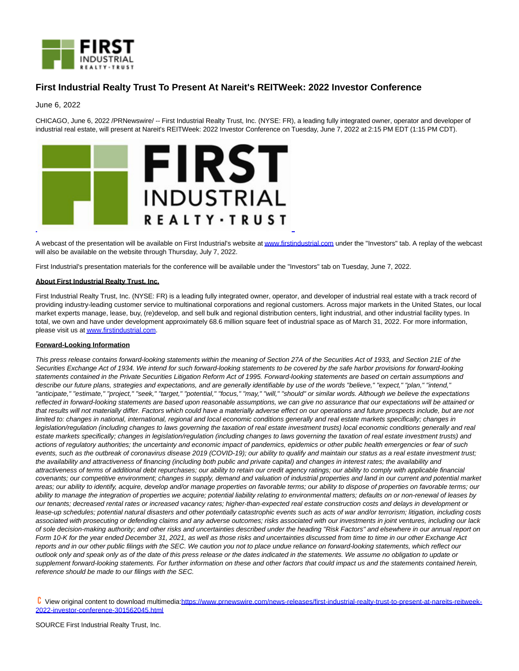

## **First Industrial Realty Trust To Present At Nareit's REITWeek: 2022 Investor Conference**

June 6, 2022

CHICAGO, June 6, 2022 /PRNewswire/ -- First Industrial Realty Trust, Inc. (NYSE: FR), a leading fully integrated owner, operator and developer of industrial real estate, will present at Nareit's REITWeek: 2022 Investor Conference on Tuesday, June 7, 2022 at 2:15 PM EDT (1:15 PM CDT).



A webcast of the presentation will be available on First Industrial's website a[t www.firstindustrial.com u](http://www.firstindustrial.com/)nder the "Investors" tab. A replay of the webcast will also be available on the website through Thursday, July 7, 2022.

First Industrial's presentation materials for the conference will be available under the "Investors" tab on Tuesday, June 7, 2022.

## **About First Industrial Realty Trust, Inc.**

First Industrial Realty Trust, Inc. (NYSE: FR) is a leading fully integrated owner, operator, and developer of industrial real estate with a track record of providing industry-leading customer service to multinational corporations and regional customers. Across major markets in the United States, our local market experts manage, lease, buy, (re)develop, and sell bulk and regional distribution centers, light industrial, and other industrial facility types. In total, we own and have under development approximately 68.6 million square feet of industrial space as of March 31, 2022. For more information, please visit us a[t www.firstindustrial.com.](http://www.firstindustrial.com/)

## **Forward-Looking Information**

This press release contains forward-looking statements within the meaning of Section 27A of the Securities Act of 1933, and Section 21E of the Securities Exchange Act of 1934. We intend for such forward-looking statements to be covered by the safe harbor provisions for forward-looking statements contained in the Private Securities Litigation Reform Act of 1995. Forward-looking statements are based on certain assumptions and describe our future plans, strategies and expectations, and are generally identifiable by use of the words "believe," "expect," "plan," "intend," "anticipate," "estimate," "project," "seek," "target," "potential," "focus," "may," "will," "should" or similar words. Although we believe the expectations reflected in forward-looking statements are based upon reasonable assumptions, we can give no assurance that our expectations will be attained or that results will not materially differ. Factors which could have a materially adverse effect on our operations and future prospects include, but are not limited to: changes in national, international, regional and local economic conditions generally and real estate markets specifically; changes in legislation/regulation (including changes to laws governing the taxation of real estate investment trusts) local economic conditions generally and real estate markets specifically; changes in legislation/regulation (including changes to laws governing the taxation of real estate investment trusts) and actions of regulatory authorities; the uncertainty and economic impact of pandemics, epidemics or other public health emergencies or fear of such events, such as the outbreak of coronavirus disease 2019 (COVID-19); our ability to qualify and maintain our status as a real estate investment trust; the availability and attractiveness of financing (including both public and private capital) and changes in interest rates; the availability and attractiveness of terms of additional debt repurchases; our ability to retain our credit agency ratings; our ability to comply with applicable financial covenants; our competitive environment; changes in supply, demand and valuation of industrial properties and land in our current and potential market areas; our ability to identify, acquire, develop and/or manage properties on favorable terms; our ability to dispose of properties on favorable terms; our ability to manage the integration of properties we acquire; potential liability relating to environmental matters; defaults on or non-renewal of leases by our tenants; decreased rental rates or increased vacancy rates; higher-than-expected real estate construction costs and delays in development or lease-up schedules; potential natural disasters and other potentially catastrophic events such as acts of war and/or terrorism; litigation, including costs associated with prosecuting or defending claims and any adverse outcomes; risks associated with our investments in joint ventures, including our lack of sole decision-making authority; and other risks and uncertainties described under the heading "Risk Factors" and elsewhere in our annual report on Form 10-K for the year ended December 31, 2021, as well as those risks and uncertainties discussed from time to time in our other Exchange Act reports and in our other public filings with the SEC. We caution you not to place undue reliance on forward-looking statements, which reflect our outlook only and speak only as of the date of this press release or the dates indicated in the statements. We assume no obligation to update or supplement forward-looking statements. For further information on these and other factors that could impact us and the statements contained herein, reference should be made to our filings with the SEC.

 View original content to download multimedia[:https://www.prnewswire.com/news-releases/first-industrial-realty-trust-to-present-at-nareits-reitweek-](https://www.prnewswire.com/news-releases/first-industrial-realty-trust-to-present-at-nareits-reitweek-2022-investor-conference-301562045.html)2022-investor-conference-301562045.html